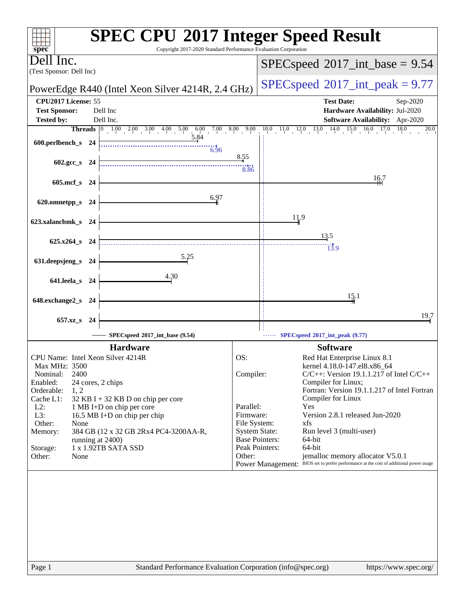| <b>SPEC CPU®2017 Integer Speed Result</b><br>Copyright 2017-2020 Standard Performance Evaluation Corporation<br>$spec^*$ |                                                                                                                                                                                         |  |  |  |  |
|--------------------------------------------------------------------------------------------------------------------------|-----------------------------------------------------------------------------------------------------------------------------------------------------------------------------------------|--|--|--|--|
| Dell Inc.<br>(Test Sponsor: Dell Inc)                                                                                    | $SPEC speed^{\circ}2017\_int\_base = 9.54$                                                                                                                                              |  |  |  |  |
| PowerEdge R440 (Intel Xeon Silver 4214R, 2.4 GHz)                                                                        | $SPEC speed^{\circ}2017\_int\_peak = 9.77$                                                                                                                                              |  |  |  |  |
| CPU2017 License: 55                                                                                                      | <b>Test Date:</b><br>Sep-2020                                                                                                                                                           |  |  |  |  |
| <b>Test Sponsor:</b><br>Dell Inc                                                                                         | Hardware Availability: Jul-2020                                                                                                                                                         |  |  |  |  |
| Dell Inc.<br><b>Tested by:</b>                                                                                           | <b>Software Availability:</b> Apr-2020                                                                                                                                                  |  |  |  |  |
|                                                                                                                          | <b>Threads</b> $\begin{bmatrix} 0 & 1.00 & 2.00 & 3.00 & 4.00 & 5.00 & 6.00 & 7.00 & 8.00 & 9.00 & 10.0 & 11.0 & 12.0 & 13.0 & 14.0 & 15.0 & 16.0 & 17.0 \end{bmatrix}$<br>18.0<br>20.0 |  |  |  |  |
| 600.perlbench_s 24                                                                                                       |                                                                                                                                                                                         |  |  |  |  |
| $\frac{11}{6.96}$                                                                                                        | 8.55                                                                                                                                                                                    |  |  |  |  |
| $602.\text{gcc s}$ 24                                                                                                    | 8.86                                                                                                                                                                                    |  |  |  |  |
|                                                                                                                          | 16.7                                                                                                                                                                                    |  |  |  |  |
| 605.mcf_s 24                                                                                                             |                                                                                                                                                                                         |  |  |  |  |
| 6.97<br>620.omnetpp_s                                                                                                    |                                                                                                                                                                                         |  |  |  |  |
| - 24                                                                                                                     |                                                                                                                                                                                         |  |  |  |  |
| 623.xalancbmk_s 24                                                                                                       | 11.9                                                                                                                                                                                    |  |  |  |  |
|                                                                                                                          |                                                                                                                                                                                         |  |  |  |  |
| 625.x264_s 24                                                                                                            | 13.5                                                                                                                                                                                    |  |  |  |  |
|                                                                                                                          | 13.9                                                                                                                                                                                    |  |  |  |  |
| 5.25<br>631.deepsjeng_s 24                                                                                               |                                                                                                                                                                                         |  |  |  |  |
| 4.30                                                                                                                     |                                                                                                                                                                                         |  |  |  |  |
| 641.leela_s 24                                                                                                           |                                                                                                                                                                                         |  |  |  |  |
|                                                                                                                          | 15.1                                                                                                                                                                                    |  |  |  |  |
| 648.exchange2_s<br>- 24                                                                                                  |                                                                                                                                                                                         |  |  |  |  |
| $657.xz$ <sub>S</sub><br>- 24                                                                                            | 19.7                                                                                                                                                                                    |  |  |  |  |
| SPECspeed®2017_int_base (9.54)                                                                                           | SPECspeed®2017_int_peak (9.77)                                                                                                                                                          |  |  |  |  |
| <b>Hardware</b>                                                                                                          | <b>Software</b>                                                                                                                                                                         |  |  |  |  |
| CPU Name: Intel Xeon Silver 4214R                                                                                        | OS:<br>Red Hat Enterprise Linux 8.1                                                                                                                                                     |  |  |  |  |
| Max MHz: 3500                                                                                                            | kernel 4.18.0-147.el8.x86_64                                                                                                                                                            |  |  |  |  |
| 2400<br>Nominal:                                                                                                         | Compiler:<br>$C/C++$ : Version 19.1.1.217 of Intel $C/C++$                                                                                                                              |  |  |  |  |
| Enabled:<br>24 cores, 2 chips<br>Orderable:<br>1, 2                                                                      | Compiler for Linux;<br>Fortran: Version 19.1.1.217 of Intel Fortran                                                                                                                     |  |  |  |  |
| Cache L1:<br>$32$ KB I + 32 KB D on chip per core                                                                        | Compiler for Linux                                                                                                                                                                      |  |  |  |  |
| $L2$ :<br>1 MB I+D on chip per core                                                                                      | Parallel:<br>Yes                                                                                                                                                                        |  |  |  |  |
| L3:<br>16.5 MB I+D on chip per chip                                                                                      | Version 2.8.1 released Jun-2020<br>Firmware:<br>xfs<br>File System:                                                                                                                     |  |  |  |  |
| Other:<br>None<br>384 GB (12 x 32 GB 2Rx4 PC4-3200AA-R,<br>Memory:                                                       | <b>System State:</b><br>Run level 3 (multi-user)                                                                                                                                        |  |  |  |  |
| running at 2400)                                                                                                         | <b>Base Pointers:</b><br>64-bit                                                                                                                                                         |  |  |  |  |
| 1 x 1.92TB SATA SSD<br>Storage:                                                                                          | Peak Pointers:<br>64-bit                                                                                                                                                                |  |  |  |  |
| Other:<br>None                                                                                                           | jemalloc memory allocator V5.0.1<br>Other:<br>Power Management: BIOS set to prefer performance at the cost of additional power usage                                                    |  |  |  |  |
|                                                                                                                          |                                                                                                                                                                                         |  |  |  |  |
|                                                                                                                          |                                                                                                                                                                                         |  |  |  |  |
|                                                                                                                          |                                                                                                                                                                                         |  |  |  |  |
|                                                                                                                          |                                                                                                                                                                                         |  |  |  |  |
|                                                                                                                          |                                                                                                                                                                                         |  |  |  |  |
|                                                                                                                          |                                                                                                                                                                                         |  |  |  |  |
|                                                                                                                          |                                                                                                                                                                                         |  |  |  |  |
|                                                                                                                          |                                                                                                                                                                                         |  |  |  |  |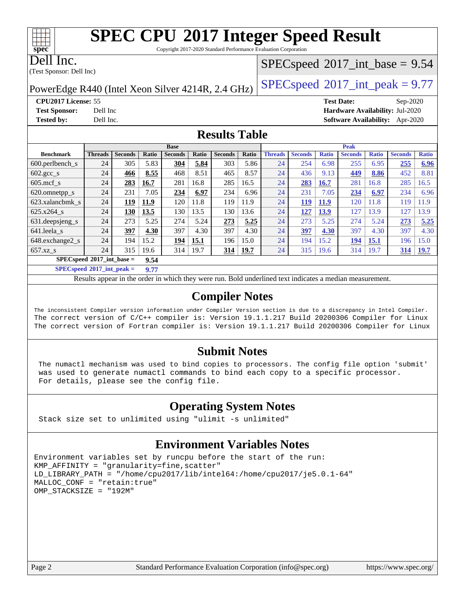Copyright 2017-2020 Standard Performance Evaluation Corporation

Dell Inc.

**[spec](http://www.spec.org/)**

(Test Sponsor: Dell Inc)

### $SPECspeed^{\circledcirc}2017\_int\_base = 9.54$  $SPECspeed^{\circledcirc}2017\_int\_base = 9.54$

PowerEdge R440 (Intel Xeon Silver 4214R, 2.4 GHz)  $\left|$  [SPECspeed](http://www.spec.org/auto/cpu2017/Docs/result-fields.html#SPECspeed2017intpeak)®[2017\\_int\\_peak = 9](http://www.spec.org/auto/cpu2017/Docs/result-fields.html#SPECspeed2017intpeak).77

**[CPU2017 License:](http://www.spec.org/auto/cpu2017/Docs/result-fields.html#CPU2017License)** 55 **[Test Date:](http://www.spec.org/auto/cpu2017/Docs/result-fields.html#TestDate)** Sep-2020 **[Test Sponsor:](http://www.spec.org/auto/cpu2017/Docs/result-fields.html#TestSponsor)** Dell Inc **[Hardware Availability:](http://www.spec.org/auto/cpu2017/Docs/result-fields.html#HardwareAvailability)** Jul-2020 **[Tested by:](http://www.spec.org/auto/cpu2017/Docs/result-fields.html#Testedby)** Dell Inc. **[Software Availability:](http://www.spec.org/auto/cpu2017/Docs/result-fields.html#SoftwareAvailability)** Apr-2020

#### **[Results Table](http://www.spec.org/auto/cpu2017/Docs/result-fields.html#ResultsTable)**

| <b>Base</b>                         |                |                |       | <b>Peak</b>    |       |                |       |                |                |              |                |              |                |              |
|-------------------------------------|----------------|----------------|-------|----------------|-------|----------------|-------|----------------|----------------|--------------|----------------|--------------|----------------|--------------|
| <b>Benchmark</b>                    | <b>Threads</b> | <b>Seconds</b> | Ratio | <b>Seconds</b> | Ratio | <b>Seconds</b> | Ratio | <b>Threads</b> | <b>Seconds</b> | <b>Ratio</b> | <b>Seconds</b> | <b>Ratio</b> | <b>Seconds</b> | <b>Ratio</b> |
| $600.$ perlbench $_s$               | 24             | 305            | 5.83  | 304            | 5.84  | 303            | 5.86  | 24             | 254            | 6.98         | 255            | 6.95         | 255            | 6.96         |
| $602 \text{.} \text{gcc}\text{.}$ s | 24             | 466            | 8.55  | 468            | 8.51  | 465            | 8.57  | 24             | 436            | 9.13         | 449            | 8.86         | 452            | 8.81         |
| $605 \text{.mcf}$ s                 | 24             | 283            | 16.7  | 281            | 16.8  | 285            | 16.5  | 24             | 283            | 16.7         | 281            | 16.8         | 285            | 16.5         |
| 620.omnetpp_s                       | 24             | 231            | 7.05  | 234            | 6.97  | 234            | 6.96  | 24             | 231            | 7.05         | 234            | 6.97         | 234            | 6.96         |
| 623.xalancbmk s                     | 24             | 119            | 11.9  | 120            | 11.8  | 119            | 11.9  | 24             | 119            | <b>11.9</b>  | 120            | 11.8         | 119            | 11.9         |
| 625.x264 s                          | 24             | 130            | 13.5  | 130            | 13.5  | 130            | 13.6  | 24             | 127            | 13.9         | 127            | 13.9         | 127            | 13.9         |
| 631.deepsjeng_s                     | 24             | 273            | 5.25  | 274            | 5.24  | 273            | 5.25  | 24             | 273            | 5.25         | 274            | 5.24         | 273            | 5.25         |
| 641.leela s                         | 24             | 397            | 4.30  | 397            | 4.30  | 397            | 4.30  | 24             | 397            | 4.30         | 397            | 4.30         | 397            | 4.30         |
| 648.exchange2_s                     | 24             | 194            | 15.2  | 194            | 15.1  | 196            | 15.0  | 24             | 194            | 15.2         | 194            | <u>15.1</u>  | 196            | 15.0         |
| $657.xz$ <sub>_S</sub>              | 24             | 315            | 19.6  | 314            | 19.7  | <u>314</u>     | 19.7  | 24             | 315            | 19.6         | 314            | 19.7         | 314            | <b>19.7</b>  |
| $SPECspeed*2017$ int base =<br>9.54 |                |                |       |                |       |                |       |                |                |              |                |              |                |              |

**[SPECspeed](http://www.spec.org/auto/cpu2017/Docs/result-fields.html#SPECspeed2017intpeak)[2017\\_int\\_peak =](http://www.spec.org/auto/cpu2017/Docs/result-fields.html#SPECspeed2017intpeak) 9.77**

Results appear in the [order in which they were run.](http://www.spec.org/auto/cpu2017/Docs/result-fields.html#RunOrder) Bold underlined text [indicates a median measurement](http://www.spec.org/auto/cpu2017/Docs/result-fields.html#Median).

#### **[Compiler Notes](http://www.spec.org/auto/cpu2017/Docs/result-fields.html#CompilerNotes)**

The inconsistent Compiler version information under Compiler Version section is due to a discrepancy in Intel Compiler. The correct version of C/C++ compiler is: Version 19.1.1.217 Build 20200306 Compiler for Linux The correct version of Fortran compiler is: Version 19.1.1.217 Build 20200306 Compiler for Linux

#### **[Submit Notes](http://www.spec.org/auto/cpu2017/Docs/result-fields.html#SubmitNotes)**

 The numactl mechanism was used to bind copies to processors. The config file option 'submit' was used to generate numactl commands to bind each copy to a specific processor. For details, please see the config file.

### **[Operating System Notes](http://www.spec.org/auto/cpu2017/Docs/result-fields.html#OperatingSystemNotes)**

Stack size set to unlimited using "ulimit -s unlimited"

## **[Environment Variables Notes](http://www.spec.org/auto/cpu2017/Docs/result-fields.html#EnvironmentVariablesNotes)**

```
Environment variables set by runcpu before the start of the run:
KMP_AFFINITY = "granularity=fine,scatter"
LD_LIBRARY_PATH = "/home/cpu2017/lib/intel64:/home/cpu2017/je5.0.1-64"
MALLOC_CONF = "retain:true"
OMP_STACKSIZE = "192M"
```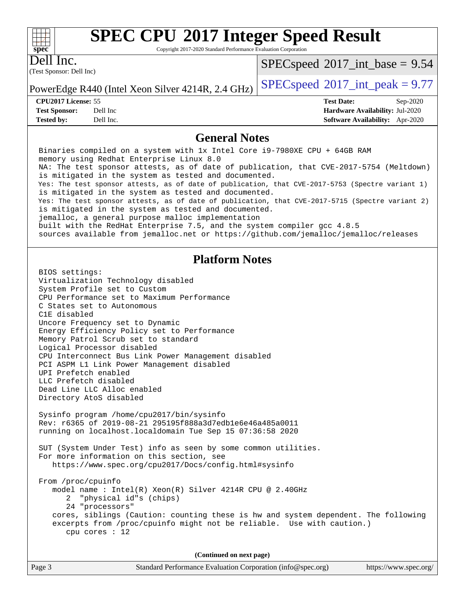Copyright 2017-2020 Standard Performance Evaluation Corporation

Dell Inc.

**[spec](http://www.spec.org/)**

 $+\hskip -1.5pt +\hskip -1.5pt +$ 

(Test Sponsor: Dell Inc)

 $SPECspeed^{\circledcirc}2017\_int\_base = 9.54$  $SPECspeed^{\circledcirc}2017\_int\_base = 9.54$ 

PowerEdge R440 (Intel Xeon Silver 4214R, 2.4 GHz)  $\left|$  [SPECspeed](http://www.spec.org/auto/cpu2017/Docs/result-fields.html#SPECspeed2017intpeak)®[2017\\_int\\_peak = 9](http://www.spec.org/auto/cpu2017/Docs/result-fields.html#SPECspeed2017intpeak).77

**[CPU2017 License:](http://www.spec.org/auto/cpu2017/Docs/result-fields.html#CPU2017License)** 55 **[Test Date:](http://www.spec.org/auto/cpu2017/Docs/result-fields.html#TestDate)** Sep-2020 **[Test Sponsor:](http://www.spec.org/auto/cpu2017/Docs/result-fields.html#TestSponsor)** Dell Inc **[Hardware Availability:](http://www.spec.org/auto/cpu2017/Docs/result-fields.html#HardwareAvailability)** Jul-2020 **[Tested by:](http://www.spec.org/auto/cpu2017/Docs/result-fields.html#Testedby)** Dell Inc. **[Software Availability:](http://www.spec.org/auto/cpu2017/Docs/result-fields.html#SoftwareAvailability)** Apr-2020

#### **[General Notes](http://www.spec.org/auto/cpu2017/Docs/result-fields.html#GeneralNotes)**

Page 3 Standard Performance Evaluation Corporation [\(info@spec.org\)](mailto:info@spec.org) <https://www.spec.org/> Binaries compiled on a system with 1x Intel Core i9-7980XE CPU + 64GB RAM memory using Redhat Enterprise Linux 8.0 NA: The test sponsor attests, as of date of publication, that CVE-2017-5754 (Meltdown) is mitigated in the system as tested and documented. Yes: The test sponsor attests, as of date of publication, that CVE-2017-5753 (Spectre variant 1) is mitigated in the system as tested and documented. Yes: The test sponsor attests, as of date of publication, that CVE-2017-5715 (Spectre variant 2) is mitigated in the system as tested and documented. jemalloc, a general purpose malloc implementation built with the RedHat Enterprise 7.5, and the system compiler gcc 4.8.5 sources available from jemalloc.net or<https://github.com/jemalloc/jemalloc/releases> **[Platform Notes](http://www.spec.org/auto/cpu2017/Docs/result-fields.html#PlatformNotes)** BIOS settings: Virtualization Technology disabled System Profile set to Custom CPU Performance set to Maximum Performance C States set to Autonomous C1E disabled Uncore Frequency set to Dynamic Energy Efficiency Policy set to Performance Memory Patrol Scrub set to standard Logical Processor disabled CPU Interconnect Bus Link Power Management disabled PCI ASPM L1 Link Power Management disabled UPI Prefetch enabled LLC Prefetch disabled Dead Line LLC Alloc enabled Directory AtoS disabled Sysinfo program /home/cpu2017/bin/sysinfo Rev: r6365 of 2019-08-21 295195f888a3d7edb1e6e46a485a0011 running on localhost.localdomain Tue Sep 15 07:36:58 2020 SUT (System Under Test) info as seen by some common utilities. For more information on this section, see <https://www.spec.org/cpu2017/Docs/config.html#sysinfo> From /proc/cpuinfo model name : Intel(R) Xeon(R) Silver 4214R CPU @ 2.40GHz 2 "physical id"s (chips) 24 "processors" cores, siblings (Caution: counting these is hw and system dependent. The following excerpts from /proc/cpuinfo might not be reliable. Use with caution.) cpu cores : 12 **(Continued on next page)**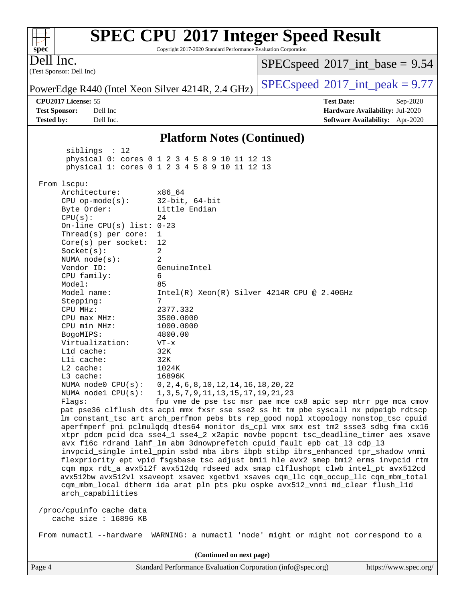#### **[spec](http://www.spec.org/)** Copyright 2017-2020 Standard Performance Evaluation Corporation (Test Sponsor: Dell Inc) Dell Inc. PowerEdge R440 (Intel Xeon Silver 4214R, 2.4 GHz) [SPECspeed](http://www.spec.org/auto/cpu2017/Docs/result-fields.html#SPECspeed2017intpeak)<sup>®</sup>[2017\\_int\\_peak = 9](http://www.spec.org/auto/cpu2017/Docs/result-fields.html#SPECspeed2017intpeak).77  $SPECspeed^{\circ}2017\_int\_base = 9.54$  $SPECspeed^{\circ}2017\_int\_base = 9.54$ **[CPU2017 License:](http://www.spec.org/auto/cpu2017/Docs/result-fields.html#CPU2017License)** 55 **[Test Date:](http://www.spec.org/auto/cpu2017/Docs/result-fields.html#TestDate)** Sep-2020 **[Test Sponsor:](http://www.spec.org/auto/cpu2017/Docs/result-fields.html#TestSponsor)** Dell Inc **[Hardware Availability:](http://www.spec.org/auto/cpu2017/Docs/result-fields.html#HardwareAvailability)** Jul-2020 **[Tested by:](http://www.spec.org/auto/cpu2017/Docs/result-fields.html#Testedby)** Dell Inc. **[Software Availability:](http://www.spec.org/auto/cpu2017/Docs/result-fields.html#SoftwareAvailability)** Apr-2020 **[Platform Notes \(Continued\)](http://www.spec.org/auto/cpu2017/Docs/result-fields.html#PlatformNotes)** siblings : 12 physical 0: cores 0 1 2 3 4 5 8 9 10 11 12 13 physical 1: cores 0 1 2 3 4 5 8 9 10 11 12 13 From lscpu: Architecture: x86\_64 CPU op-mode(s): 32-bit, 64-bit Byte Order: Little Endian  $CPU(s):$  24 On-line CPU(s) list: 0-23 Thread(s) per core: 1 Core(s) per socket: 12 Socket(s): 2 NUMA node(s): 2 Vendor ID: GenuineIntel CPU family: 6 Model: 85 Model name: Intel(R) Xeon(R) Silver 4214R CPU @ 2.40GHz Stepping: 7 CPU MHz: 2377.332 CPU max MHz: 3500.0000 CPU min MHz: 1000.0000 BogoMIPS: 4800.00 Virtualization: VT-x L1d cache: 32K L1i cache: 32K L2 cache: 1024K L3 cache: 16896K NUMA node0 CPU(s): 0,2,4,6,8,10,12,14,16,18,20,22 NUMA node1 CPU(s): 1,3,5,7,9,11,13,15,17,19,21,23 Flags: fpu vme de pse tsc msr pae mce cx8 apic sep mtrr pge mca cmov pat pse36 clflush dts acpi mmx fxsr sse sse2 ss ht tm pbe syscall nx pdpe1gb rdtscp lm constant\_tsc art arch\_perfmon pebs bts rep\_good nopl xtopology nonstop\_tsc cpuid aperfmperf pni pclmulqdq dtes64 monitor ds\_cpl vmx smx est tm2 ssse3 sdbg fma cx16 xtpr pdcm pcid dca sse4\_1 sse4\_2 x2apic movbe popcnt tsc\_deadline\_timer aes xsave avx f16c rdrand lahf\_lm abm 3dnowprefetch cpuid\_fault epb cat\_l3 cdp\_l3 invpcid\_single intel\_ppin ssbd mba ibrs ibpb stibp ibrs\_enhanced tpr\_shadow vnmi flexpriority ept vpid fsgsbase tsc\_adjust bmi1 hle avx2 smep bmi2 erms invpcid rtm cqm mpx rdt\_a avx512f avx512dq rdseed adx smap clflushopt clwb intel\_pt avx512cd avx512bw avx512vl xsaveopt xsavec xgetbv1 xsaves cqm\_llc cqm\_occup\_llc cqm\_mbm\_total cqm\_mbm\_local dtherm ida arat pln pts pku ospke avx512\_vnni md\_clear flush\_l1d arch\_capabilities /proc/cpuinfo cache data cache size : 16896 KB From numactl --hardware WARNING: a numactl 'node' might or might not correspond to a **(Continued on next page)**

**[SPEC CPU](http://www.spec.org/auto/cpu2017/Docs/result-fields.html#SPECCPU2017IntegerSpeedResult)[2017 Integer Speed Result](http://www.spec.org/auto/cpu2017/Docs/result-fields.html#SPECCPU2017IntegerSpeedResult)**

 $+\!\!+\!\!$ 

Page 4 Standard Performance Evaluation Corporation [\(info@spec.org\)](mailto:info@spec.org) <https://www.spec.org/>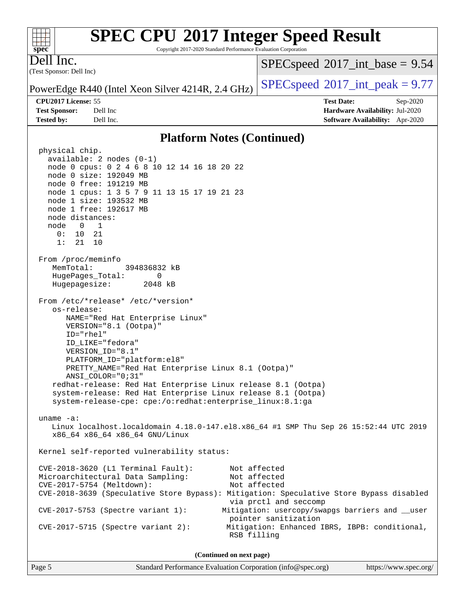Copyright 2017-2020 Standard Performance Evaluation Corporation

(Test Sponsor: Dell Inc) Dell Inc.

**[spec](http://www.spec.org/)**

 $+\!\!+\!\!$ 

 $SPECspeed^{\circ}2017\_int\_base = 9.54$  $SPECspeed^{\circ}2017\_int\_base = 9.54$ 

PowerEdge R440 (Intel Xeon Silver 4214R, 2.4 GHz) [SPECspeed](http://www.spec.org/auto/cpu2017/Docs/result-fields.html#SPECspeed2017intpeak)<sup>®</sup>[2017\\_int\\_peak = 9](http://www.spec.org/auto/cpu2017/Docs/result-fields.html#SPECspeed2017intpeak).77

**[CPU2017 License:](http://www.spec.org/auto/cpu2017/Docs/result-fields.html#CPU2017License)** 55 **[Test Date:](http://www.spec.org/auto/cpu2017/Docs/result-fields.html#TestDate)** Sep-2020 **[Test Sponsor:](http://www.spec.org/auto/cpu2017/Docs/result-fields.html#TestSponsor)** Dell Inc **[Hardware Availability:](http://www.spec.org/auto/cpu2017/Docs/result-fields.html#HardwareAvailability)** Jul-2020 **[Tested by:](http://www.spec.org/auto/cpu2017/Docs/result-fields.html#Testedby)** Dell Inc. **[Software Availability:](http://www.spec.org/auto/cpu2017/Docs/result-fields.html#SoftwareAvailability)** Apr-2020

#### **[Platform Notes \(Continued\)](http://www.spec.org/auto/cpu2017/Docs/result-fields.html#PlatformNotes)**

 physical chip. available: 2 nodes (0-1) node 0 cpus: 0 2 4 6 8 10 12 14 16 18 20 22 node 0 size: 192049 MB node 0 free: 191219 MB node 1 cpus: 1 3 5 7 9 11 13 15 17 19 21 23 node 1 size: 193532 MB node 1 free: 192617 MB node distances: node 0 1 0: 10 21 1: 21 10 From /proc/meminfo MemTotal: 394836832 kB HugePages\_Total: 0 Hugepagesize: 2048 kB From /etc/\*release\* /etc/\*version\* os-release: NAME="Red Hat Enterprise Linux" VERSION="8.1 (Ootpa)" ID="rhel" ID\_LIKE="fedora" VERSION\_ID="8.1" PLATFORM\_ID="platform:el8" PRETTY\_NAME="Red Hat Enterprise Linux 8.1 (Ootpa)" ANSI\_COLOR="0;31" redhat-release: Red Hat Enterprise Linux release 8.1 (Ootpa) system-release: Red Hat Enterprise Linux release 8.1 (Ootpa) system-release-cpe: cpe:/o:redhat:enterprise\_linux:8.1:ga uname -a: Linux localhost.localdomain 4.18.0-147.el8.x86\_64 #1 SMP Thu Sep 26 15:52:44 UTC 2019 x86\_64 x86\_64 x86\_64 GNU/Linux Kernel self-reported vulnerability status: CVE-2018-3620 (L1 Terminal Fault): Not affected Microarchitectural Data Sampling: Not affected CVE-2017-5754 (Meltdown): Not affected CVE-2018-3639 (Speculative Store Bypass): Mitigation: Speculative Store Bypass disabled via prctl and seccomp CVE-2017-5753 (Spectre variant 1): Mitigation: usercopy/swapgs barriers and \_\_user pointer sanitization CVE-2017-5715 (Spectre variant 2): Mitigation: Enhanced IBRS, IBPB: conditional, RSB filling **(Continued on next page)**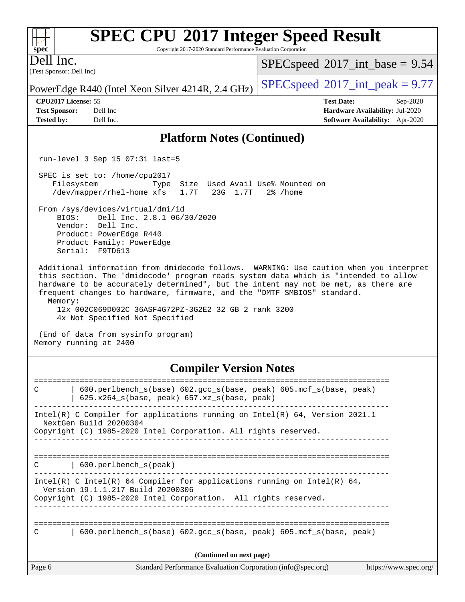Copyright 2017-2020 Standard Performance Evaluation Corporation

(Test Sponsor: Dell Inc) Dell Inc.

 $SPECspeed^{\circledcirc}2017\_int\_base = 9.54$  $SPECspeed^{\circledcirc}2017\_int\_base = 9.54$ 

PowerEdge R440 (Intel Xeon Silver 4214R, 2.4 GHz)  $\left|$  [SPECspeed](http://www.spec.org/auto/cpu2017/Docs/result-fields.html#SPECspeed2017intpeak)®[2017\\_int\\_peak = 9](http://www.spec.org/auto/cpu2017/Docs/result-fields.html#SPECspeed2017intpeak).77

**[Test Sponsor:](http://www.spec.org/auto/cpu2017/Docs/result-fields.html#TestSponsor)** Dell Inc **[Hardware Availability:](http://www.spec.org/auto/cpu2017/Docs/result-fields.html#HardwareAvailability)** Jul-2020 **[Tested by:](http://www.spec.org/auto/cpu2017/Docs/result-fields.html#Testedby)** Dell Inc. **[Software Availability:](http://www.spec.org/auto/cpu2017/Docs/result-fields.html#SoftwareAvailability)** Apr-2020

**[CPU2017 License:](http://www.spec.org/auto/cpu2017/Docs/result-fields.html#CPU2017License)** 55 **[Test Date:](http://www.spec.org/auto/cpu2017/Docs/result-fields.html#TestDate)** Sep-2020

## **[Platform Notes \(Continued\)](http://www.spec.org/auto/cpu2017/Docs/result-fields.html#PlatformNotes)**

run-level 3 Sep 15 07:31 last=5

 SPEC is set to: /home/cpu2017 Filesystem Type Size Used Avail Use% Mounted on /dev/mapper/rhel-home xfs 1.7T 23G 1.7T 2% /home

 From /sys/devices/virtual/dmi/id BIOS: Dell Inc. 2.8.1 06/30/2020

 Vendor: Dell Inc. Product: PowerEdge R440 Product Family: PowerEdge Serial: F9TD613

 Additional information from dmidecode follows. WARNING: Use caution when you interpret this section. The 'dmidecode' program reads system data which is "intended to allow hardware to be accurately determined", but the intent may not be met, as there are frequent changes to hardware, firmware, and the "DMTF SMBIOS" standard. Memory:

 12x 002C069D002C 36ASF4G72PZ-3G2E2 32 GB 2 rank 3200 4x Not Specified Not Specified

 (End of data from sysinfo program) Memory running at 2400

### **[Compiler Version Notes](http://www.spec.org/auto/cpu2017/Docs/result-fields.html#CompilerVersionNotes)**

| $600.$ perlbench $s(base) 602.$ qcc $s(base, peak) 605.$ mcf $s(base, peak)$<br>C<br>$625.x264_s(base, peak)$ 657.xz <sub>_S</sub> (base, peak)                                  |
|----------------------------------------------------------------------------------------------------------------------------------------------------------------------------------|
| Intel(R) C Compiler for applications running on Intel(R) $64$ , Version 2021.1<br>NextGen Build 20200304<br>Copyright (C) 1985-2020 Intel Corporation. All rights reserved.      |
| 600.perlbench s(peak)<br>C                                                                                                                                                       |
| Intel(R) C Intel(R) 64 Compiler for applications running on Intel(R) 64,<br>Version 19.1.1.217 Build 20200306<br>Copyright (C) 1985-2020 Intel Corporation. All rights reserved. |
| $600.$ perlbench $s(base) 602.$ qcc $s(base, peak) 605.$ mcf $s(base, peak)$<br>C                                                                                                |
| (Continued on next page)                                                                                                                                                         |
| Page 6<br>Standard Performance Evaluation Corporation (info@spec.org)<br>https://www.spec.org/                                                                                   |

 $+\ +$ **[spec](http://www.spec.org/)**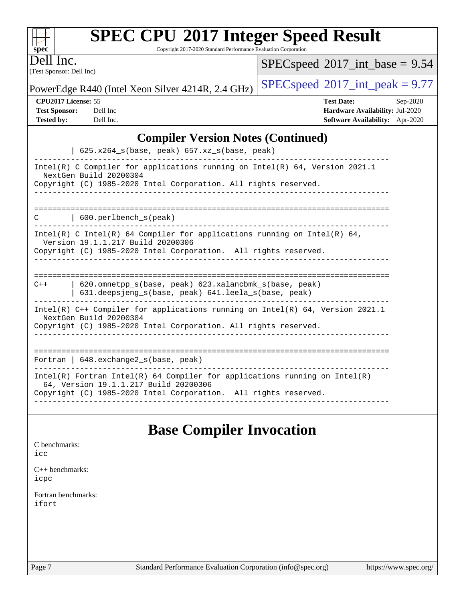| <b>SPEC CPU®2017 Integer Speed Result</b> |  |  |  |
|-------------------------------------------|--|--|--|
|-------------------------------------------|--|--|--|

Copyright 2017-2020 Standard Performance Evaluation Corporation

(Test Sponsor: Dell Inc) Dell Inc.

**[spec](http://www.spec.org/)**

 $+\!\!+\!\!$ 

 $SPECspeed*2017\_int\_base = 9.54$  $SPECspeed*2017\_int\_base = 9.54$ 

PowerEdge R440 (Intel Xeon Silver 4214R, 2.4 GHz)  $\left|$  [SPECspeed](http://www.spec.org/auto/cpu2017/Docs/result-fields.html#SPECspeed2017intpeak)<sup>®</sup>[2017\\_int\\_peak = 9](http://www.spec.org/auto/cpu2017/Docs/result-fields.html#SPECspeed2017intpeak).77

**[CPU2017 License:](http://www.spec.org/auto/cpu2017/Docs/result-fields.html#CPU2017License)** 55 **[Test Date:](http://www.spec.org/auto/cpu2017/Docs/result-fields.html#TestDate)** Sep-2020 **[Test Sponsor:](http://www.spec.org/auto/cpu2017/Docs/result-fields.html#TestSponsor)** Dell Inc **[Hardware Availability:](http://www.spec.org/auto/cpu2017/Docs/result-fields.html#HardwareAvailability)** Jul-2020 **[Tested by:](http://www.spec.org/auto/cpu2017/Docs/result-fields.html#Testedby)** Dell Inc. **[Software Availability:](http://www.spec.org/auto/cpu2017/Docs/result-fields.html#SoftwareAvailability)** Apr-2020

## **[Compiler Version Notes \(Continued\)](http://www.spec.org/auto/cpu2017/Docs/result-fields.html#CompilerVersionNotes)**

## **[Base Compiler Invocation](http://www.spec.org/auto/cpu2017/Docs/result-fields.html#BaseCompilerInvocation)**

| C benchmarks:<br>icc         |  |  |
|------------------------------|--|--|
| $C++$ benchmarks:<br>icpc    |  |  |
| Fortran benchmarks:<br>ifort |  |  |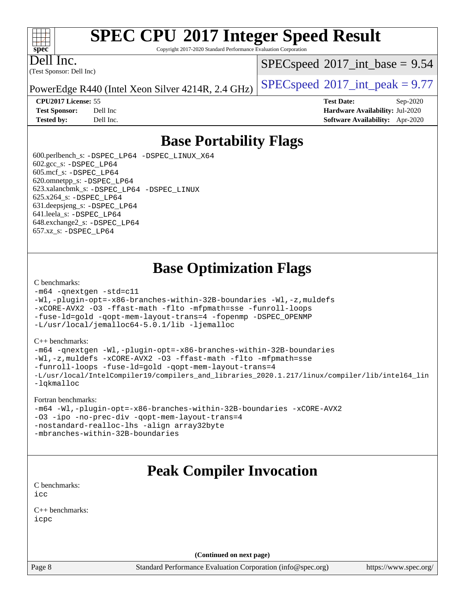#### $+\ +$ **[spec](http://www.spec.org/)**

# **[SPEC CPU](http://www.spec.org/auto/cpu2017/Docs/result-fields.html#SPECCPU2017IntegerSpeedResult)[2017 Integer Speed Result](http://www.spec.org/auto/cpu2017/Docs/result-fields.html#SPECCPU2017IntegerSpeedResult)**

Copyright 2017-2020 Standard Performance Evaluation Corporation

(Test Sponsor: Dell Inc) Dell Inc.

 $SPECspeed^{\circ}2017\_int\_base = 9.54$  $SPECspeed^{\circ}2017\_int\_base = 9.54$ 

PowerEdge R440 (Intel Xeon Silver 4214R, 2.4 GHz) [SPECspeed](http://www.spec.org/auto/cpu2017/Docs/result-fields.html#SPECspeed2017intpeak)<sup>®</sup>[2017\\_int\\_peak = 9](http://www.spec.org/auto/cpu2017/Docs/result-fields.html#SPECspeed2017intpeak).77

**[CPU2017 License:](http://www.spec.org/auto/cpu2017/Docs/result-fields.html#CPU2017License)** 55 **[Test Date:](http://www.spec.org/auto/cpu2017/Docs/result-fields.html#TestDate)** Sep-2020 **[Test Sponsor:](http://www.spec.org/auto/cpu2017/Docs/result-fields.html#TestSponsor)** Dell Inc **[Hardware Availability:](http://www.spec.org/auto/cpu2017/Docs/result-fields.html#HardwareAvailability)** Jul-2020 **[Tested by:](http://www.spec.org/auto/cpu2017/Docs/result-fields.html#Testedby)** Dell Inc. **[Software Availability:](http://www.spec.org/auto/cpu2017/Docs/result-fields.html#SoftwareAvailability)** Apr-2020

## **[Base Portability Flags](http://www.spec.org/auto/cpu2017/Docs/result-fields.html#BasePortabilityFlags)**

 600.perlbench\_s: [-DSPEC\\_LP64](http://www.spec.org/cpu2017/results/res2020q4/cpu2017-20200928-24077.flags.html#b600.perlbench_s_basePORTABILITY_DSPEC_LP64) [-DSPEC\\_LINUX\\_X64](http://www.spec.org/cpu2017/results/res2020q4/cpu2017-20200928-24077.flags.html#b600.perlbench_s_baseCPORTABILITY_DSPEC_LINUX_X64) 602.gcc\_s: [-DSPEC\\_LP64](http://www.spec.org/cpu2017/results/res2020q4/cpu2017-20200928-24077.flags.html#suite_basePORTABILITY602_gcc_s_DSPEC_LP64) 605.mcf\_s: [-DSPEC\\_LP64](http://www.spec.org/cpu2017/results/res2020q4/cpu2017-20200928-24077.flags.html#suite_basePORTABILITY605_mcf_s_DSPEC_LP64) 620.omnetpp\_s: [-DSPEC\\_LP64](http://www.spec.org/cpu2017/results/res2020q4/cpu2017-20200928-24077.flags.html#suite_basePORTABILITY620_omnetpp_s_DSPEC_LP64) 623.xalancbmk\_s: [-DSPEC\\_LP64](http://www.spec.org/cpu2017/results/res2020q4/cpu2017-20200928-24077.flags.html#suite_basePORTABILITY623_xalancbmk_s_DSPEC_LP64) [-DSPEC\\_LINUX](http://www.spec.org/cpu2017/results/res2020q4/cpu2017-20200928-24077.flags.html#b623.xalancbmk_s_baseCXXPORTABILITY_DSPEC_LINUX) 625.x264\_s: [-DSPEC\\_LP64](http://www.spec.org/cpu2017/results/res2020q4/cpu2017-20200928-24077.flags.html#suite_basePORTABILITY625_x264_s_DSPEC_LP64) 631.deepsjeng\_s: [-DSPEC\\_LP64](http://www.spec.org/cpu2017/results/res2020q4/cpu2017-20200928-24077.flags.html#suite_basePORTABILITY631_deepsjeng_s_DSPEC_LP64) 641.leela\_s: [-DSPEC\\_LP64](http://www.spec.org/cpu2017/results/res2020q4/cpu2017-20200928-24077.flags.html#suite_basePORTABILITY641_leela_s_DSPEC_LP64) 648.exchange2\_s: [-DSPEC\\_LP64](http://www.spec.org/cpu2017/results/res2020q4/cpu2017-20200928-24077.flags.html#suite_basePORTABILITY648_exchange2_s_DSPEC_LP64) 657.xz\_s: [-DSPEC\\_LP64](http://www.spec.org/cpu2017/results/res2020q4/cpu2017-20200928-24077.flags.html#suite_basePORTABILITY657_xz_s_DSPEC_LP64)

## **[Base Optimization Flags](http://www.spec.org/auto/cpu2017/Docs/result-fields.html#BaseOptimizationFlags)**

#### [C benchmarks](http://www.spec.org/auto/cpu2017/Docs/result-fields.html#Cbenchmarks):

```
-m64 -qnextgen -std=c11
-Wl,-plugin-opt=-x86-branches-within-32B-boundaries -Wl,-z,muldefs
-xCORE-AVX2 -O3 -ffast-math -flto -mfpmath=sse -funroll-loops
-fuse-ld=gold -qopt-mem-layout-trans=4 -fopenmp -DSPEC_OPENMP
-L/usr/local/jemalloc64-5.0.1/lib -ljemalloc
```
#### [C++ benchmarks:](http://www.spec.org/auto/cpu2017/Docs/result-fields.html#CXXbenchmarks)

```
-m64 -qnextgen -Wl,-plugin-opt=-x86-branches-within-32B-boundaries
-Wl,-z,muldefs -xCORE-AVX2 -O3 -ffast-math -flto -mfpmath=sse
-funroll-loops -fuse-ld=gold -qopt-mem-layout-trans=4
-L/usr/local/IntelCompiler19/compilers_and_libraries_2020.1.217/linux/compiler/lib/intel64_lin
-lqkmalloc
```
#### [Fortran benchmarks:](http://www.spec.org/auto/cpu2017/Docs/result-fields.html#Fortranbenchmarks)

```
-m64 -Wl,-plugin-opt=-x86-branches-within-32B-boundaries -xCORE-AVX2
-O3 -ipo -no-prec-div -qopt-mem-layout-trans=4
-nostandard-realloc-lhs -align array32byte
-mbranches-within-32B-boundaries
```
## **[Peak Compiler Invocation](http://www.spec.org/auto/cpu2017/Docs/result-fields.html#PeakCompilerInvocation)**

[C benchmarks](http://www.spec.org/auto/cpu2017/Docs/result-fields.html#Cbenchmarks): [icc](http://www.spec.org/cpu2017/results/res2020q4/cpu2017-20200928-24077.flags.html#user_CCpeak_intel_icc_66fc1ee009f7361af1fbd72ca7dcefbb700085f36577c54f309893dd4ec40d12360134090235512931783d35fd58c0460139e722d5067c5574d8eaf2b3e37e92)

[C++ benchmarks:](http://www.spec.org/auto/cpu2017/Docs/result-fields.html#CXXbenchmarks) [icpc](http://www.spec.org/cpu2017/results/res2020q4/cpu2017-20200928-24077.flags.html#user_CXXpeak_intel_icpc_c510b6838c7f56d33e37e94d029a35b4a7bccf4766a728ee175e80a419847e808290a9b78be685c44ab727ea267ec2f070ec5dc83b407c0218cded6866a35d07)

**(Continued on next page)**

Page 8 Standard Performance Evaluation Corporation [\(info@spec.org\)](mailto:info@spec.org) <https://www.spec.org/>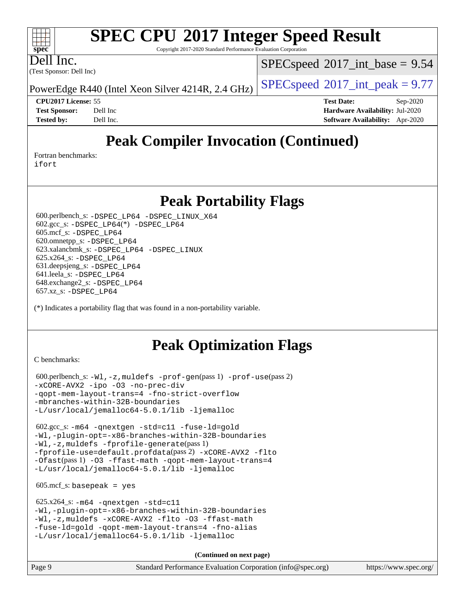Copyright 2017-2020 Standard Performance Evaluation Corporation

Dell Inc.

**[spec](http://www.spec.org/)**

 $+\ +$ 

(Test Sponsor: Dell Inc)

 $SPECspeed^{\circ}2017\_int\_base = 9.54$  $SPECspeed^{\circ}2017\_int\_base = 9.54$ 

PowerEdge R440 (Intel Xeon Silver 4214R, 2.4 GHz)  $\left|$  [SPECspeed](http://www.spec.org/auto/cpu2017/Docs/result-fields.html#SPECspeed2017intpeak)®[2017\\_int\\_peak = 9](http://www.spec.org/auto/cpu2017/Docs/result-fields.html#SPECspeed2017intpeak).77

**[CPU2017 License:](http://www.spec.org/auto/cpu2017/Docs/result-fields.html#CPU2017License)** 55 **[Test Date:](http://www.spec.org/auto/cpu2017/Docs/result-fields.html#TestDate)** Sep-2020 **[Test Sponsor:](http://www.spec.org/auto/cpu2017/Docs/result-fields.html#TestSponsor)** Dell Inc **[Hardware Availability:](http://www.spec.org/auto/cpu2017/Docs/result-fields.html#HardwareAvailability)** Jul-2020 **[Tested by:](http://www.spec.org/auto/cpu2017/Docs/result-fields.html#Testedby)** Dell Inc. **[Software Availability:](http://www.spec.org/auto/cpu2017/Docs/result-fields.html#SoftwareAvailability)** Apr-2020

## **[Peak Compiler Invocation \(Continued\)](http://www.spec.org/auto/cpu2017/Docs/result-fields.html#PeakCompilerInvocation)**

[Fortran benchmarks](http://www.spec.org/auto/cpu2017/Docs/result-fields.html#Fortranbenchmarks):

[ifort](http://www.spec.org/cpu2017/results/res2020q4/cpu2017-20200928-24077.flags.html#user_FCpeak_intel_ifort_8111460550e3ca792625aed983ce982f94888b8b503583aa7ba2b8303487b4d8a21a13e7191a45c5fd58ff318f48f9492884d4413fa793fd88dd292cad7027ca)

## **[Peak Portability Flags](http://www.spec.org/auto/cpu2017/Docs/result-fields.html#PeakPortabilityFlags)**

 600.perlbench\_s: [-DSPEC\\_LP64](http://www.spec.org/cpu2017/results/res2020q4/cpu2017-20200928-24077.flags.html#b600.perlbench_s_peakPORTABILITY_DSPEC_LP64) [-DSPEC\\_LINUX\\_X64](http://www.spec.org/cpu2017/results/res2020q4/cpu2017-20200928-24077.flags.html#b600.perlbench_s_peakCPORTABILITY_DSPEC_LINUX_X64) 602.gcc\_s: [-DSPEC\\_LP64](http://www.spec.org/cpu2017/results/res2020q4/cpu2017-20200928-24077.flags.html#suite_peakCCLD602_gcc_s_DSPEC_LP64)(\*) [-DSPEC\\_LP64](http://www.spec.org/cpu2017/results/res2020q4/cpu2017-20200928-24077.flags.html#suite_peakPORTABILITY602_gcc_s_DSPEC_LP64) 605.mcf\_s: [-DSPEC\\_LP64](http://www.spec.org/cpu2017/results/res2020q4/cpu2017-20200928-24077.flags.html#suite_peakPORTABILITY605_mcf_s_DSPEC_LP64) 620.omnetpp\_s: [-DSPEC\\_LP64](http://www.spec.org/cpu2017/results/res2020q4/cpu2017-20200928-24077.flags.html#suite_peakPORTABILITY620_omnetpp_s_DSPEC_LP64) 623.xalancbmk\_s: [-DSPEC\\_LP64](http://www.spec.org/cpu2017/results/res2020q4/cpu2017-20200928-24077.flags.html#suite_peakPORTABILITY623_xalancbmk_s_DSPEC_LP64) [-DSPEC\\_LINUX](http://www.spec.org/cpu2017/results/res2020q4/cpu2017-20200928-24077.flags.html#b623.xalancbmk_s_peakCXXPORTABILITY_DSPEC_LINUX) 625.x264\_s: [-DSPEC\\_LP64](http://www.spec.org/cpu2017/results/res2020q4/cpu2017-20200928-24077.flags.html#suite_peakPORTABILITY625_x264_s_DSPEC_LP64) 631.deepsjeng\_s: [-DSPEC\\_LP64](http://www.spec.org/cpu2017/results/res2020q4/cpu2017-20200928-24077.flags.html#suite_peakPORTABILITY631_deepsjeng_s_DSPEC_LP64) 641.leela\_s: [-DSPEC\\_LP64](http://www.spec.org/cpu2017/results/res2020q4/cpu2017-20200928-24077.flags.html#suite_peakPORTABILITY641_leela_s_DSPEC_LP64) 648.exchange2\_s: [-DSPEC\\_LP64](http://www.spec.org/cpu2017/results/res2020q4/cpu2017-20200928-24077.flags.html#suite_peakPORTABILITY648_exchange2_s_DSPEC_LP64) 657.xz\_s: [-DSPEC\\_LP64](http://www.spec.org/cpu2017/results/res2020q4/cpu2017-20200928-24077.flags.html#suite_peakPORTABILITY657_xz_s_DSPEC_LP64)

(\*) Indicates a portability flag that was found in a non-portability variable.

## **[Peak Optimization Flags](http://www.spec.org/auto/cpu2017/Docs/result-fields.html#PeakOptimizationFlags)**

[C benchmarks](http://www.spec.org/auto/cpu2017/Docs/result-fields.html#Cbenchmarks):

 600.perlbench\_s: [-Wl,-z,muldefs](http://www.spec.org/cpu2017/results/res2020q4/cpu2017-20200928-24077.flags.html#user_peakEXTRA_LDFLAGS600_perlbench_s_link_force_multiple1_b4cbdb97b34bdee9ceefcfe54f4c8ea74255f0b02a4b23e853cdb0e18eb4525ac79b5a88067c842dd0ee6996c24547a27a4b99331201badda8798ef8a743f577) [-prof-gen](http://www.spec.org/cpu2017/results/res2020q4/cpu2017-20200928-24077.flags.html#user_peakPASS1_CFLAGSPASS1_LDFLAGS600_perlbench_s_prof_gen_5aa4926d6013ddb2a31985c654b3eb18169fc0c6952a63635c234f711e6e63dd76e94ad52365559451ec499a2cdb89e4dc58ba4c67ef54ca681ffbe1461d6b36)(pass 1) [-prof-use](http://www.spec.org/cpu2017/results/res2020q4/cpu2017-20200928-24077.flags.html#user_peakPASS2_CFLAGSPASS2_LDFLAGS600_perlbench_s_prof_use_1a21ceae95f36a2b53c25747139a6c16ca95bd9def2a207b4f0849963b97e94f5260e30a0c64f4bb623698870e679ca08317ef8150905d41bd88c6f78df73f19)(pass 2) [-xCORE-AVX2](http://www.spec.org/cpu2017/results/res2020q4/cpu2017-20200928-24077.flags.html#user_peakCOPTIMIZE600_perlbench_s_f-xCORE-AVX2) [-ipo](http://www.spec.org/cpu2017/results/res2020q4/cpu2017-20200928-24077.flags.html#user_peakCOPTIMIZE600_perlbench_s_f-ipo) [-O3](http://www.spec.org/cpu2017/results/res2020q4/cpu2017-20200928-24077.flags.html#user_peakCOPTIMIZE600_perlbench_s_f-O3) [-no-prec-div](http://www.spec.org/cpu2017/results/res2020q4/cpu2017-20200928-24077.flags.html#user_peakCOPTIMIZE600_perlbench_s_f-no-prec-div) [-qopt-mem-layout-trans=4](http://www.spec.org/cpu2017/results/res2020q4/cpu2017-20200928-24077.flags.html#user_peakCOPTIMIZE600_perlbench_s_f-qopt-mem-layout-trans_fa39e755916c150a61361b7846f310bcdf6f04e385ef281cadf3647acec3f0ae266d1a1d22d972a7087a248fd4e6ca390a3634700869573d231a252c784941a8) [-fno-strict-overflow](http://www.spec.org/cpu2017/results/res2020q4/cpu2017-20200928-24077.flags.html#user_peakEXTRA_OPTIMIZE600_perlbench_s_f-fno-strict-overflow) [-mbranches-within-32B-boundaries](http://www.spec.org/cpu2017/results/res2020q4/cpu2017-20200928-24077.flags.html#user_peakEXTRA_COPTIMIZE600_perlbench_s_f-mbranches-within-32B-boundaries) [-L/usr/local/jemalloc64-5.0.1/lib](http://www.spec.org/cpu2017/results/res2020q4/cpu2017-20200928-24077.flags.html#user_peakEXTRA_LIBS600_perlbench_s_jemalloc_link_path64_1_cc289568b1a6c0fd3b62c91b824c27fcb5af5e8098e6ad028160d21144ef1b8aef3170d2acf0bee98a8da324cfe4f67d0a3d0c4cc4673d993d694dc2a0df248b) [-ljemalloc](http://www.spec.org/cpu2017/results/res2020q4/cpu2017-20200928-24077.flags.html#user_peakEXTRA_LIBS600_perlbench_s_jemalloc_link_lib_d1249b907c500fa1c0672f44f562e3d0f79738ae9e3c4a9c376d49f265a04b9c99b167ecedbf6711b3085be911c67ff61f150a17b3472be731631ba4d0471706)

 602.gcc\_s: [-m64](http://www.spec.org/cpu2017/results/res2020q4/cpu2017-20200928-24077.flags.html#user_peakCCLD602_gcc_s_m64-icc) [-qnextgen](http://www.spec.org/cpu2017/results/res2020q4/cpu2017-20200928-24077.flags.html#user_peakCCLD602_gcc_s_f-qnextgen) [-std=c11](http://www.spec.org/cpu2017/results/res2020q4/cpu2017-20200928-24077.flags.html#user_peakCCLD602_gcc_s_std-icc-std_0e1c27790398a4642dfca32ffe6c27b5796f9c2d2676156f2e42c9c44eaad0c049b1cdb667a270c34d979996257aeb8fc440bfb01818dbc9357bd9d174cb8524) [-fuse-ld=gold](http://www.spec.org/cpu2017/results/res2020q4/cpu2017-20200928-24077.flags.html#user_peakCCLD602_gcc_s_f-fuse-ld_920b3586e2b8c6e0748b9c84fa9b744736ba725a32cab14ad8f3d4ad28eecb2f59d1144823d2e17006539a88734fe1fc08fc3035f7676166309105a78aaabc32) [-Wl,-plugin-opt=-x86-branches-within-32B-boundaries](http://www.spec.org/cpu2017/results/res2020q4/cpu2017-20200928-24077.flags.html#user_peakLDFLAGS602_gcc_s_f-x86-branches-within-32B-boundaries_0098b4e4317ae60947b7b728078a624952a08ac37a3c797dfb4ffeb399e0c61a9dd0f2f44ce917e9361fb9076ccb15e7824594512dd315205382d84209e912f3) [-Wl,-z,muldefs](http://www.spec.org/cpu2017/results/res2020q4/cpu2017-20200928-24077.flags.html#user_peakEXTRA_LDFLAGS602_gcc_s_link_force_multiple1_b4cbdb97b34bdee9ceefcfe54f4c8ea74255f0b02a4b23e853cdb0e18eb4525ac79b5a88067c842dd0ee6996c24547a27a4b99331201badda8798ef8a743f577) [-fprofile-generate](http://www.spec.org/cpu2017/results/res2020q4/cpu2017-20200928-24077.flags.html#user_peakPASS1_CFLAGSPASS1_LDFLAGS602_gcc_s_fprofile-generate)(pass 1) [-fprofile-use=default.profdata](http://www.spec.org/cpu2017/results/res2020q4/cpu2017-20200928-24077.flags.html#user_peakPASS2_CFLAGSPASS2_LDFLAGS602_gcc_s_fprofile-use_56aeee182b92ec249f9670f17c9b8e7d83fe2d25538e35a2cf64c434b579a2235a8b8fc66ef5678d24461366bbab9d486c870d8a72905233fc08e43eefe3cd80)(pass 2) [-xCORE-AVX2](http://www.spec.org/cpu2017/results/res2020q4/cpu2017-20200928-24077.flags.html#user_peakCOPTIMIZEPASS1_CFLAGSPASS1_LDFLAGS602_gcc_s_f-xCORE-AVX2) [-flto](http://www.spec.org/cpu2017/results/res2020q4/cpu2017-20200928-24077.flags.html#user_peakCOPTIMIZEPASS1_CFLAGSPASS1_LDFLAGS602_gcc_s_f-flto) [-Ofast](http://www.spec.org/cpu2017/results/res2020q4/cpu2017-20200928-24077.flags.html#user_peakPASS1_CFLAGSPASS1_LDFLAGS602_gcc_s_f-Ofast)(pass 1) [-O3](http://www.spec.org/cpu2017/results/res2020q4/cpu2017-20200928-24077.flags.html#user_peakCOPTIMIZE602_gcc_s_f-O3) [-ffast-math](http://www.spec.org/cpu2017/results/res2020q4/cpu2017-20200928-24077.flags.html#user_peakCOPTIMIZE602_gcc_s_f-ffast-math) [-qopt-mem-layout-trans=4](http://www.spec.org/cpu2017/results/res2020q4/cpu2017-20200928-24077.flags.html#user_peakCOPTIMIZE602_gcc_s_f-qopt-mem-layout-trans_fa39e755916c150a61361b7846f310bcdf6f04e385ef281cadf3647acec3f0ae266d1a1d22d972a7087a248fd4e6ca390a3634700869573d231a252c784941a8) [-L/usr/local/jemalloc64-5.0.1/lib](http://www.spec.org/cpu2017/results/res2020q4/cpu2017-20200928-24077.flags.html#user_peakEXTRA_LIBS602_gcc_s_jemalloc_link_path64_1_cc289568b1a6c0fd3b62c91b824c27fcb5af5e8098e6ad028160d21144ef1b8aef3170d2acf0bee98a8da324cfe4f67d0a3d0c4cc4673d993d694dc2a0df248b) [-ljemalloc](http://www.spec.org/cpu2017/results/res2020q4/cpu2017-20200928-24077.flags.html#user_peakEXTRA_LIBS602_gcc_s_jemalloc_link_lib_d1249b907c500fa1c0672f44f562e3d0f79738ae9e3c4a9c376d49f265a04b9c99b167ecedbf6711b3085be911c67ff61f150a17b3472be731631ba4d0471706)

 $605.\text{mcf}\text{ s}:$  basepeak = yes

 625.x264\_s: [-m64](http://www.spec.org/cpu2017/results/res2020q4/cpu2017-20200928-24077.flags.html#user_peakCCLD625_x264_s_m64-icc) [-qnextgen](http://www.spec.org/cpu2017/results/res2020q4/cpu2017-20200928-24077.flags.html#user_peakCCLD625_x264_s_f-qnextgen) [-std=c11](http://www.spec.org/cpu2017/results/res2020q4/cpu2017-20200928-24077.flags.html#user_peakCCLD625_x264_s_std-icc-std_0e1c27790398a4642dfca32ffe6c27b5796f9c2d2676156f2e42c9c44eaad0c049b1cdb667a270c34d979996257aeb8fc440bfb01818dbc9357bd9d174cb8524) [-Wl,-plugin-opt=-x86-branches-within-32B-boundaries](http://www.spec.org/cpu2017/results/res2020q4/cpu2017-20200928-24077.flags.html#user_peakLDFLAGS625_x264_s_f-x86-branches-within-32B-boundaries_0098b4e4317ae60947b7b728078a624952a08ac37a3c797dfb4ffeb399e0c61a9dd0f2f44ce917e9361fb9076ccb15e7824594512dd315205382d84209e912f3) [-Wl,-z,muldefs](http://www.spec.org/cpu2017/results/res2020q4/cpu2017-20200928-24077.flags.html#user_peakEXTRA_LDFLAGS625_x264_s_link_force_multiple1_b4cbdb97b34bdee9ceefcfe54f4c8ea74255f0b02a4b23e853cdb0e18eb4525ac79b5a88067c842dd0ee6996c24547a27a4b99331201badda8798ef8a743f577) [-xCORE-AVX2](http://www.spec.org/cpu2017/results/res2020q4/cpu2017-20200928-24077.flags.html#user_peakCOPTIMIZE625_x264_s_f-xCORE-AVX2) [-flto](http://www.spec.org/cpu2017/results/res2020q4/cpu2017-20200928-24077.flags.html#user_peakCOPTIMIZE625_x264_s_f-flto) [-O3](http://www.spec.org/cpu2017/results/res2020q4/cpu2017-20200928-24077.flags.html#user_peakCOPTIMIZE625_x264_s_f-O3) [-ffast-math](http://www.spec.org/cpu2017/results/res2020q4/cpu2017-20200928-24077.flags.html#user_peakCOPTIMIZE625_x264_s_f-ffast-math) [-fuse-ld=gold](http://www.spec.org/cpu2017/results/res2020q4/cpu2017-20200928-24077.flags.html#user_peakCOPTIMIZE625_x264_s_f-fuse-ld_920b3586e2b8c6e0748b9c84fa9b744736ba725a32cab14ad8f3d4ad28eecb2f59d1144823d2e17006539a88734fe1fc08fc3035f7676166309105a78aaabc32) [-qopt-mem-layout-trans=4](http://www.spec.org/cpu2017/results/res2020q4/cpu2017-20200928-24077.flags.html#user_peakCOPTIMIZE625_x264_s_f-qopt-mem-layout-trans_fa39e755916c150a61361b7846f310bcdf6f04e385ef281cadf3647acec3f0ae266d1a1d22d972a7087a248fd4e6ca390a3634700869573d231a252c784941a8) [-fno-alias](http://www.spec.org/cpu2017/results/res2020q4/cpu2017-20200928-24077.flags.html#user_peakEXTRA_OPTIMIZE625_x264_s_f-no-alias_77dbac10d91cbfe898fbf4a29d1b29b694089caa623bdd1baccc9957d4edbe8d106c0b357e2748a65b44fc9e83d78098bb898077f3fe92f9faf24f7bd4a07ed7) [-L/usr/local/jemalloc64-5.0.1/lib](http://www.spec.org/cpu2017/results/res2020q4/cpu2017-20200928-24077.flags.html#user_peakEXTRA_LIBS625_x264_s_jemalloc_link_path64_1_cc289568b1a6c0fd3b62c91b824c27fcb5af5e8098e6ad028160d21144ef1b8aef3170d2acf0bee98a8da324cfe4f67d0a3d0c4cc4673d993d694dc2a0df248b) [-ljemalloc](http://www.spec.org/cpu2017/results/res2020q4/cpu2017-20200928-24077.flags.html#user_peakEXTRA_LIBS625_x264_s_jemalloc_link_lib_d1249b907c500fa1c0672f44f562e3d0f79738ae9e3c4a9c376d49f265a04b9c99b167ecedbf6711b3085be911c67ff61f150a17b3472be731631ba4d0471706)

**(Continued on next page)**